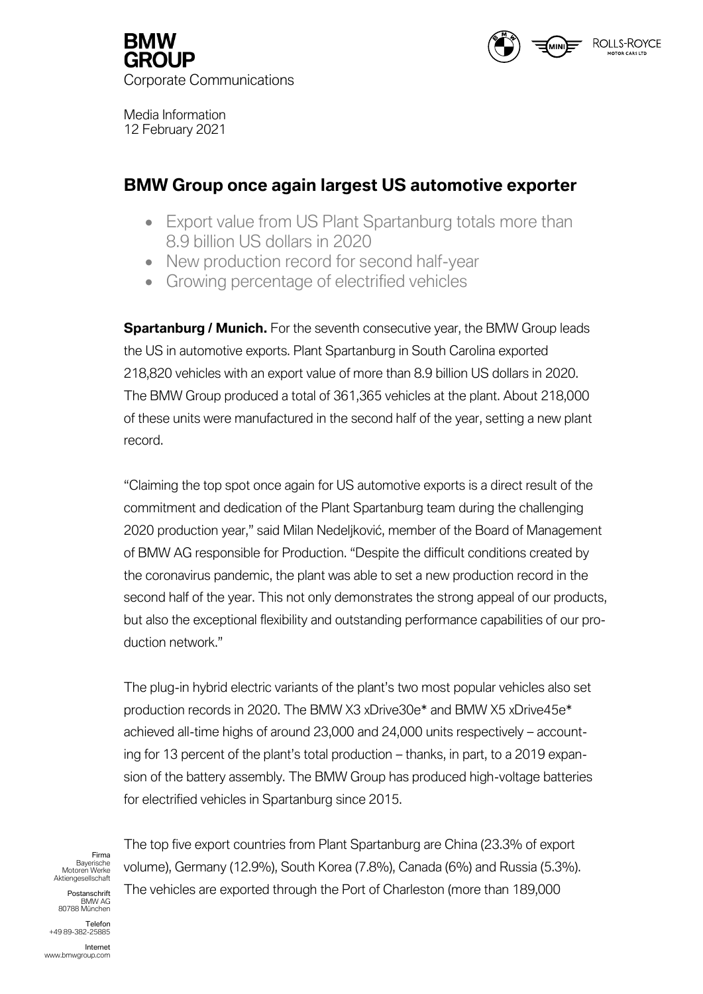

Corporate Communications

Media Information 12 February 2021

# **BMW Group once again largest US automotive exporter**

- Export value from US Plant Spartanburg totals more than 8.9 billion US dollars in 2020
- New production record for second half-year
- Growing percentage of electrified vehicles

**Spartanburg / Munich.** For the seventh consecutive year, the BMW Group leads the US in automotive exports. Plant Spartanburg in South Carolina exported 218,820 vehicles with an export value of more than 8.9 billion US dollars in 2020. The BMW Group produced a total of 361,365 vehicles at the plant. About 218,000 of these units were manufactured in the second half of the year, setting a new plant record.

"Claiming the top spot once again for US automotive exports is a direct result of the commitment and dedication of the Plant Spartanburg team during the challenging 2020 production year," said Milan Nedeljković, member of the Board of Management of BMW AG responsible for Production. "Despite the difficult conditions created by the coronavirus pandemic, the plant was able to set a new production record in the second half of the year. This not only demonstrates the strong appeal of our products, but also the exceptional flexibility and outstanding performance capabilities of our production network."

The plug-in hybrid electric variants of the plant's two most popular vehicles also set production records in 2020. The BMW X3 xDrive30e\* and BMW X5 xDrive45e\* achieved all-time highs of around 23,000 and 24,000 units respectively – accounting for 13 percent of the plant's total production – thanks, in part, to a 2019 expansion of the battery assembly. The BMW Group has produced high-voltage batteries for electrified vehicles in Spartanburg since 2015.

Firma Bayerische Motoren Werke Aktiengesellschaft

Postanschrift BMW AG 80788 München

**Telefon** *+49 89-382-25885*

Internet www.bmwgroup.com

The top five export countries from Plant Spartanburg are China (23.3% of export volume), Germany (12.9%), South Korea (7.8%), Canada (6%) and Russia (5.3%). The vehicles are exported through the Port of Charleston (more than 189,000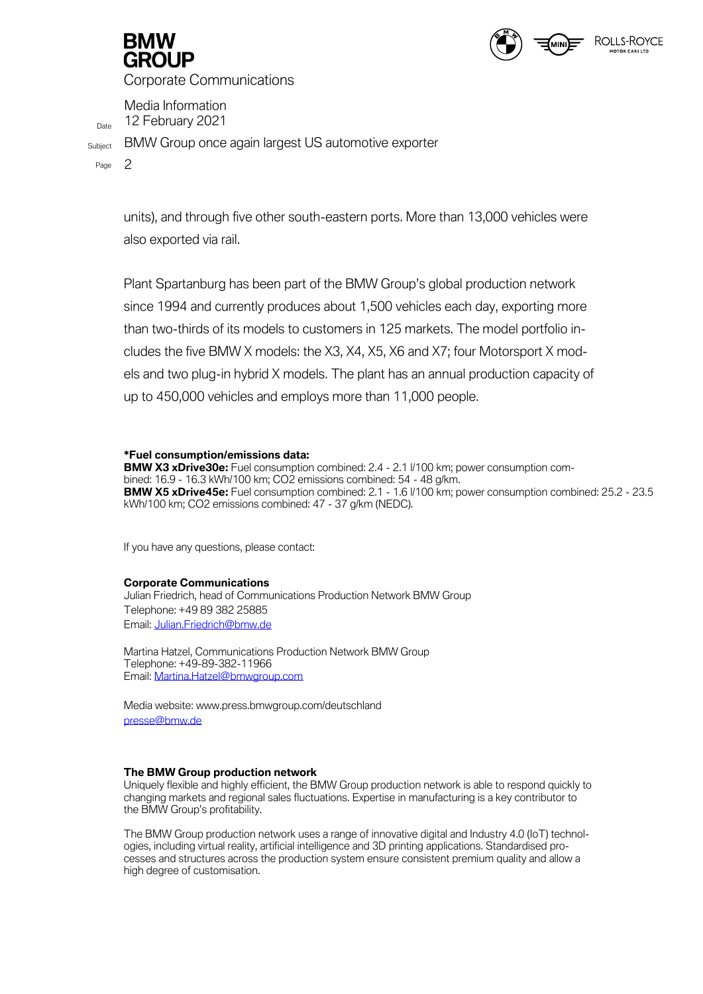

Corporate Communications

Media Information Date 12 February 2021

Subject BMW Group once again largest US automotive exporter

Page 2

units), and through five other south-eastern ports. More than 13,000 vehicles were also exported via rail.

Plant Spartanburg has been part of the BMW Group's global production network since 1994 and currently produces about 1,500 vehicles each day, exporting more than two-thirds of its models to customers in 125 markets. The model portfolio includes the five BMW X models: the X3, X4, X5, X6 and X7; four Motorsport X models and two plug-in hybrid X models. The plant has an annual production capacity of up to 450,000 vehicles and employs more than 11,000 people.

# **\*Fuel consumption/emissions data:**

**BMW X3 xDrive30e:** Fuel consumption combined: 2.4 - 2.1 l/100 km; power consumption combined: 16.9 - 16.3 kWh/100 km; CO2 emissions combined: 54 - 48 g/km. **BMW X5 xDrive45e:** Fuel consumption combined: 2.1 - 1.6 l/100 km; power consumption combined: 25.2 - 23.5 kWh/100 km; CO2 emissions combined: 47 - 37 g/km (NEDC).

If you have any questions, please contact:

# **Corporate Communications**

Julian Friedrich, head of Communications Production Network BMW Group Telephone: +49 89 382 25885 Email: [Julian.Friedrich@bmw.de](about:blank)

Martina Hatzel, Communications Production Network BMW Group Telephone: +49-89-382-11966 Email: [Martina.Hatzel@bmwgroup.com](about:blank)

Media website: www.press.bmwgroup.com/deutschland [presse@bmw.de](about:blank)

# **The BMW Group production network**

Uniquely flexible and highly efficient, the BMW Group production network is able to respond quickly to changing markets and regional sales fluctuations. Expertise in manufacturing is a key contributor to the BMW Group's profitability.

The BMW Group production network uses a range of innovative digital and Industry 4.0 (IoT) technologies, including virtual reality, artificial intelligence and 3D printing applications. Standardised processes and structures across the production system ensure consistent premium quality and allow a high degree of customisation.